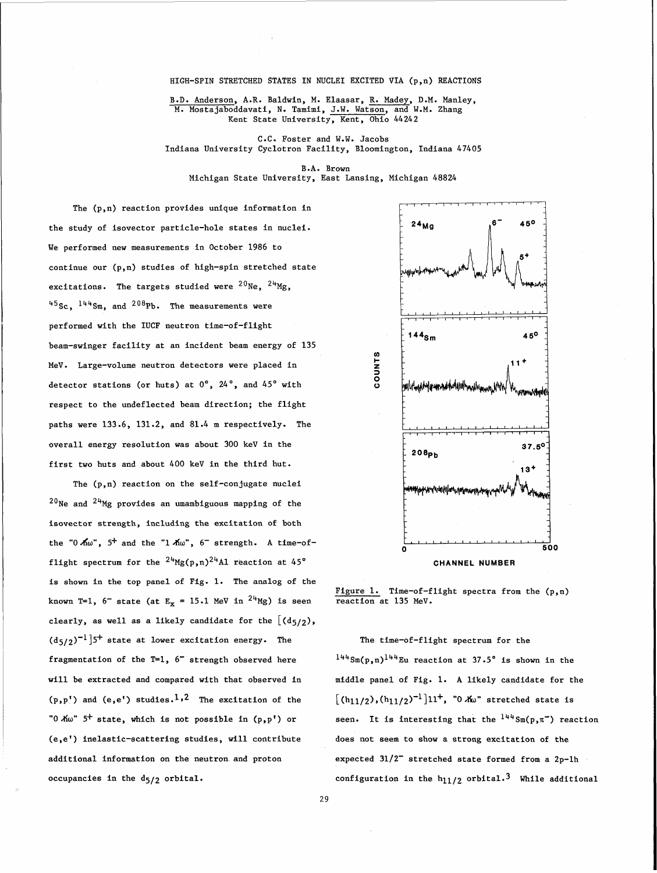## HIGH-SPIN STRETCHED STATES IN NUCLEI EXCITED VIA (p,n) REACTIONS

B.D. Anderson, A.R. Baldwin, M. Elaasar, R. Madey, D.M. Manley, M. Mostajaboddavati, **N.** Tamimi, J.W. Watson, and W.M. Zhang Kent State University, Kent, Ohio 44242

C.C. Foster and W.W. Jacobs Indiana University Cyclotron Facility, Bloomington, Indiana 47405

B.A. Brown Michigan State University, East Lansing, Michigan 48824

The (p,n) reaction provides unique information in the study of isovector particle-hole states in nuclei. We performed new measurements in October 1986 to continue our (p,n) studies of high-spin stretched state excitations. The targets studied were  $^{20}$ Ne,  $^{24}$ Mg,  $^{45}$ Sc,  $^{144}$ Sm, and  $^{208}$ Pb. The measurements were performed with the IUCF neutron time-of-flight beam-swinger facility at an incident beam energy of 135 MeV. Large-volume neutron detectors were placed in detector stations (or huts) at 0°, 24°, and 45° with respect to the undeflected beam direction; the flight paths were 133.6, 131.2, and 81.4 m respectively. The overall energy resolution was about 300 keV in the first two huts and about 400 keV in the third hut.

The (p,n) reaction on the self-conjugate nuclei  $^{20}$ Ne and  $^{24}$ Mg provides an umambiguous mapping of the isovector strength, including the excitation of both the "0  $\hbox{\AA} \omega$ ", 5<sup>+</sup> and the "1  $\hbox{\AA} \omega$ ", 6<sup>-</sup> strength. A time-offlight spectrum for the  $2^{\mu}Mg(p,n)2^{\mu}A1$  reaction at 45° **CHANNEL NUMBER** is shown in the top panel of Fig. 1. The analog of the known T=1,  $6^-$  state (at  $E_x = 15.1$  MeV in  $24$ Mg) is seen clearly, as well as a likely candidate for the  $[(d_{5/2})$ ,  $(d_{5/2})^{-1}$ ]<sup>5+</sup> state at lower excitation energy. The The time-of-flight spectrum for the fragmentation of the T=1, 6<sup>-</sup> strength observed here  $1^{4,4}$ Sm(p,n)<sup>144</sup>Eu reaction at 37.5° is shown in the will be extracted and compared with that observed in middle panel of Fig. 1. A likely candidate for the  $(p,p!)$  and  $(e,e')$  studies.<sup>1</sup>,<sup>2</sup> The excitation of the  $[(h_{11/2}), (h_{11/2})^{-1}]11^+,$  "0  $\lambda\omega$ " stretched state is "0 Aw" 5<sup>+</sup> state, which is not possible in (p,p<sup>1</sup>) or seen. It is interesting that the <sup>144</sup> Sm(p,  $\pi$ <sup>-</sup>) reaction (e,el) inelastic-scattering studies, will contribute does not seem to show a strong excitation of the additional information on the neutron and proton occupancies in the d<sub>5</sub>/2 orbital.



Figure 1. Time-of-flight spectra from the  $(p,n)$  reaction at 135 MeV.

expected  $31/2^-$  stretched state formed from a 2p-1h configuration in the  $h_{11/2}$  orbital.<sup>3</sup> While additional